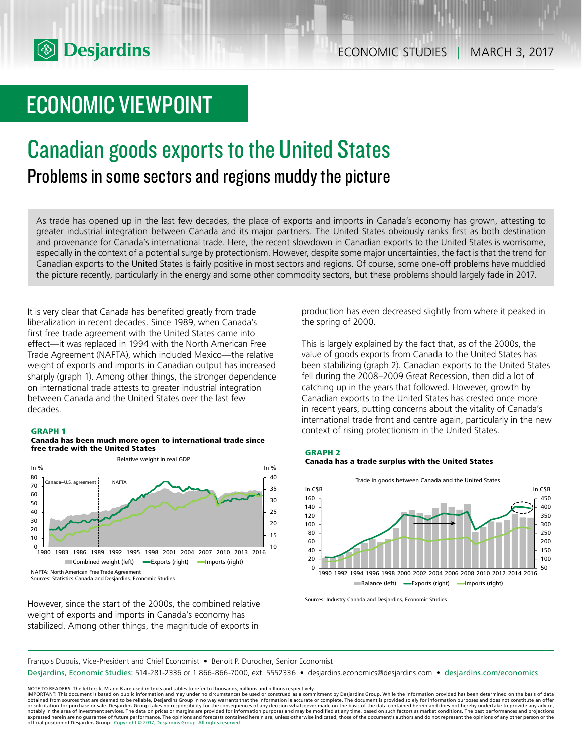# ECONOMIC VIEWPOINT

### Canadian goods exports to the United States Problems in some sectors and regions muddy the picture

As trade has opened up in the last few decades, the place of exports and imports in Canada's economy has grown, attesting to greater industrial integration between Canada and its major partners. The United States obviously ranks first as both destination and provenance for Canada's international trade. Here, the recent slowdown in Canadian exports to the United States is worrisome, especially in the context of a potential surge by protectionism. However, despite some major uncertainties, the fact is that the trend for Canadian exports to the United States is fairly positive in most sectors and regions. Of course, some one-off problems have muddied the picture recently, particularly in the energy and some other commodity sectors, but these problems should largely fade in 2017.

It is very clear that Canada has benefited greatly from trade liberalization in recent decades. Since 1989, when Canada's first free trade agreement with the United States came into effect—it was replaced in 1994 with the North American Free Trade Agreement (NAFTA), which included Mexico—the relative weight of exports and imports in Canadian output has increased sharply (graph 1). Among other things, the stronger dependence on international trade attests to greater industrial integration between Canada and the United States over the last few decades.

#### **GRAPH 1**

#### **Canada has been much more open to international trade since free trade with the United States**



However, since the start of the 2000s, the combined relative weight of exports and imports in Canada's economy has stabilized. Among other things, the magnitude of exports in

production has even decreased slightly from where it peaked in the spring of 2000.

This is largely explained by the fact that, as of the 2000s, the value of goods exports from Canada to the United States has been stabilizing (graph 2). Canadian exports to the United States fell during the 2008–2009 Great Recession, then did a lot of catching up in the years that followed. However, growth by Canadian exports to the United States has crested once more in recent years, putting concerns about the vitality of Canada's international trade front and centre again, particularly in the new context of rising protectionism in the United States.





Sources: Industry Canada and Desjardins, Economic Studies

François Dupuis, Vice-President and Chief Economist • Benoit P. Durocher, Senior Economist

Desjardins, Economic Studies: 514-281-2336 or 1 866-866-7000, ext. 5552336 • desjardins.economics@desjardins.com • desjardins.com/economics

NOTE TO READERS: The letters k, M and B are used in texts and tables to refer to thousands, millions and billions respectively.<br>IMPORTANT: This document is based on public information and may under no circumstances be used obtained from sources that are deemed to be reliable, Desjardins Group in no way warrants that the information is accurate or complete. The document is provided solely for information purposes and does not constitute an of expressed herein are no guarantee of future performance. The opinions and forecasts contained herein are, unless otherwise indicated, those of the document's authors and do not represent the opinions of any other person or official position of Desjardins Group. Copyright © 2017, Desjardins Group. All rights reserved.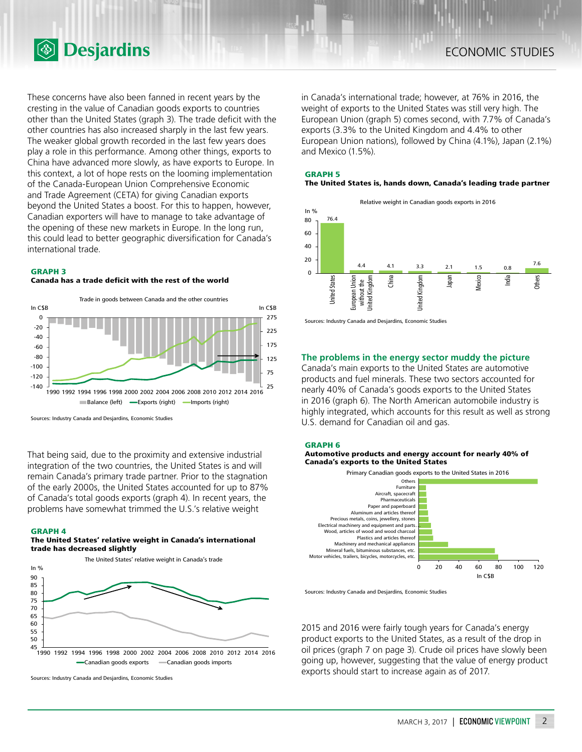

These concerns have also been fanned in recent years by the cresting in the value of Canadian goods exports to countries other than the United States (graph 3). The trade deficit with the other countries has also increased sharply in the last few years. The weaker global growth recorded in the last few years does play a role in this performance. Among other things, exports to China have advanced more slowly, as have exports to Europe. In this context, a lot of hope rests on the looming implementation of the Canada-European Union Comprehensive Economic and Trade Agreement (CETA) for giving Canadian exports beyond the United States a boost. For this to happen, however, Canadian exporters will have to manage to take advantage of the opening of these new markets in Europe. In the long run, this could lead to better geographic diversification for Canada's international trade.

#### **GRAPH 3**

**Canada has a trade deficit with the rest of the world**



Sources: Industry Canada and Desjardins, Economic Studies

That being said, due to the proximity and extensive industrial integration of the two countries, the United States is and will remain Canada's primary trade partner. Prior to the stagnation of the early 2000s, the United States accounted for up to 87% of Canada's total goods exports (graph 4). In recent years, the problems have somewhat trimmed the U.S.'s relative weight

#### **GRAPH 4**

#### **The United States' relative weight in Canada's international trade has decreased slightly**



Sources: Industry Canada and Desjardins, Economic Studies

in Canada's international trade; however, at 76% in 2016, the weight of exports to the United States was still very high. The European Union (graph 5) comes second, with 7.7% of Canada's exports (3.3% to the United Kingdom and 4.4% to other European Union nations), followed by China (4.1%), Japan (2.1%) and Mexico (1.5%).

### **GRAPH 5**

#### **The United States is, hands down, Canada's leading trade partner**



Sources: Industry Canada and Desjardins, Economic Studies

#### **The problems in the energy sector muddy the picture**

Canada's main exports to the United States are automotive products and fuel minerals. These two sectors accounted for nearly 40% of Canada's goods exports to the United States in 2016 (graph 6). The North American automobile industry is highly integrated, which accounts for this result as well as strong U.S. demand for Canadian oil and gas.







Sources: Industry Canada and Desjardins, Economic Studies

2015 and 2016 were fairly tough years for Canada's energy product exports to the United States, as a result of the drop in oil prices (graph 7 on page 3). Crude oil prices have slowly been going up, however, suggesting that the value of energy product exports should start to increase again as of 2017.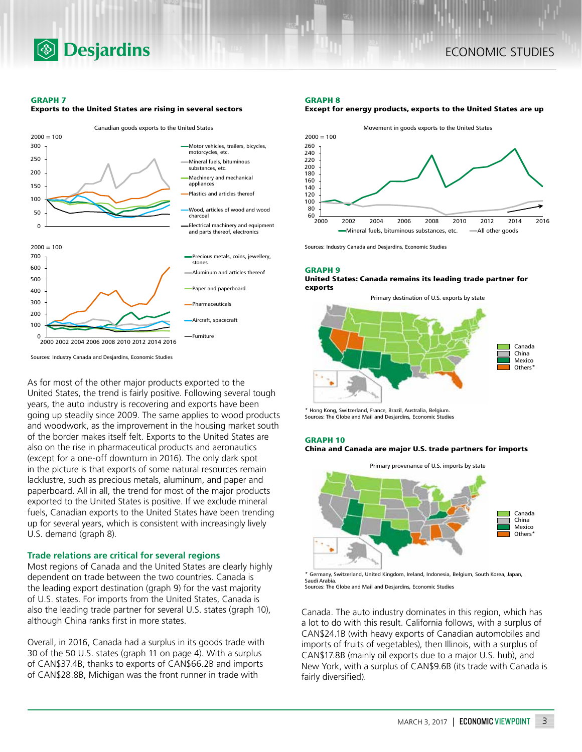

#### **GRAPH 7**



**Exports to the United States are rising in several sectors**

Sources: Industry Canada and Desjardins, Economic Studies

As for most of the other major products exported to the United States, the trend is fairly positive. Following several tough years, the auto industry is recovering and exports have been going up steadily since 2009. The same applies to wood products and woodwork, as the improvement in the housing market south of the border makes itself felt. Exports to the United States are also on the rise in pharmaceutical products and aeronautics (except for a one-off downturn in 2016). The only dark spot in the picture is that exports of some natural resources remain lacklustre, such as precious metals, aluminum, and paper and paperboard. All in all, the trend for most of the major products exported to the United States is positive. If we exclude mineral fuels, Canadian exports to the United States have been trending up for several years, which is consistent with increasingly lively U.S. demand (graph 8).

#### **Trade relations are critical for several regions**

Most regions of Canada and the United States are clearly highly dependent on trade between the two countries. Canada is the leading export destination (graph 9) for the vast majority of U.S. states. For imports from the United States, Canada is also the leading trade partner for several U.S. states (graph 10), although China ranks first in more states.

Overall, in 2016, Canada had a surplus in its goods trade with 30 of the 50 U.S. states (graph 11 on page 4). With a surplus of CAN\$37.4B, thanks to exports of CAN\$66.2B and imports of CAN\$28.8B, Michigan was the front runner in trade with

#### **GRAPH 8**





Sources: Industry Canada and Desjardins, Economic Studies

#### **GRAPH 9**

#### **United States: Canada remains its leading trade partner for exports**



\* Hong Kong, Switzerland, France, Brazil, Australia, Belgium. Sources: The Globe and Mail and Desjardins, Economic Studies

#### **GRAPH 10 China and Canada are major U.S. trade partners for imports**

Primary provenance of U.S. imports by state



\* Germany, Switzerland, United Kingdom, Ireland, Indonesia, Belgium, South Korea, Japan, Saudi Arabia. Sources: The Globe and Mail and Desjardins, Economic Studies

Canada. The auto industry dominates in this region, which has a lot to do with this result. California follows, with a surplus of CAN\$24.1B (with heavy exports of Canadian automobiles and imports of fruits of vegetables), then Illinois, with a surplus of CAN\$17.8B (mainly oil exports due to a major U.S. hub), and New York, with a surplus of CAN\$9.6B (its trade with Canada is fairly diversified).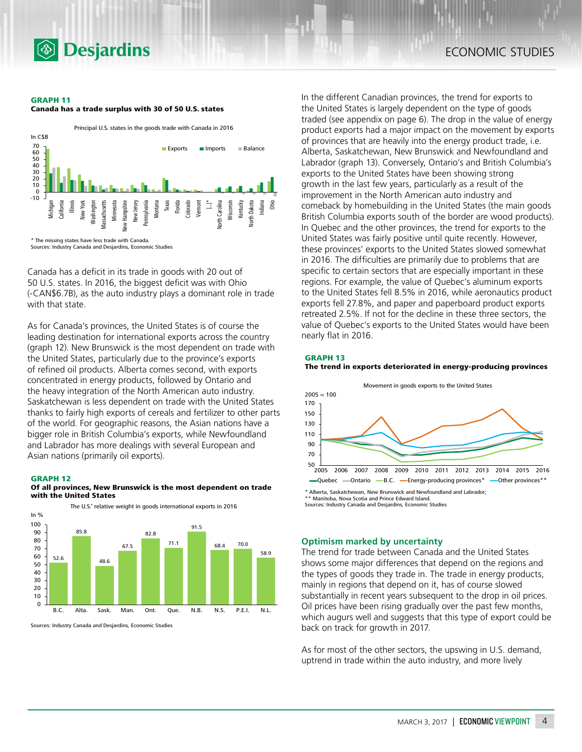

#### **GRAPH 11**





Canada has a deficit in its trade in goods with 20 out of 50 U.S. states. In 2016, the biggest deficit was with Ohio (-CAN\$6.7B), as the auto industry plays a dominant role in trade with that state.

As for Canada's provinces, the United States is of course the leading destination for international exports across the country (graph 12). New Brunswick is the most dependent on trade with the United States, particularly due to the province's exports of refined oil products. Alberta comes second, with exports concentrated in energy products, followed by Ontario and the heavy integration of the North American auto industry. Saskatchewan is less dependent on trade with the United States thanks to fairly high exports of cereals and fertilizer to other parts of the world. For geographic reasons, the Asian nations have a bigger role in British Columbia's exports, while Newfoundland and Labrador has more dealings with several European and Asian nations (primarily oil exports).

#### **GRAPH 12**





Sources: Industry Canada and Desjardins, Economic Studies

In the different Canadian provinces, the trend for exports to the United States is largely dependent on the type of goods traded (see appendix on page 6). The drop in the value of energy product exports had a major impact on the movement by exports of provinces that are heavily into the energy product trade, i.e. Alberta, Saskatchewan, New Brunswick and Newfoundland and Labrador (graph 13). Conversely, Ontario's and British Columbia's exports to the United States have been showing strong growth in the last few years, particularly as a result of the improvement in the North American auto industry and comeback by homebuilding in the United States (the main goods British Columbia exports south of the border are wood products). In Quebec and the other provinces, the trend for exports to the United States was fairly positive until quite recently. However, these provinces' exports to the United States slowed somewhat in 2016. The difficulties are primarily due to problems that are specific to certain sectors that are especially important in these regions. For example, the value of Quebec's aluminum exports to the United States fell 8.5% in 2016, while aeronautics product exports fell 27.8%, and paper and paperboard product exports retreated 2.5%. If not for the decline in these three sectors, the value of Quebec's exports to the United States would have been nearly flat in 2016.

**GRAPH 13**





\*\* Manitoba, Nova Scotia and Prince Edward Island. Sources: Industry Canada and Desjardins, Economic Studies

#### **Optimism marked by uncertainty**

The trend for trade between Canada and the United States shows some major differences that depend on the regions and the types of goods they trade in. The trade in energy products, mainly in regions that depend on it, has of course slowed substantially in recent years subsequent to the drop in oil prices. Oil prices have been rising gradually over the past few months, which augurs well and suggests that this type of export could be back on track for growth in 2017.

As for most of the other sectors, the upswing in U.S. demand, uptrend in trade within the auto industry, and more lively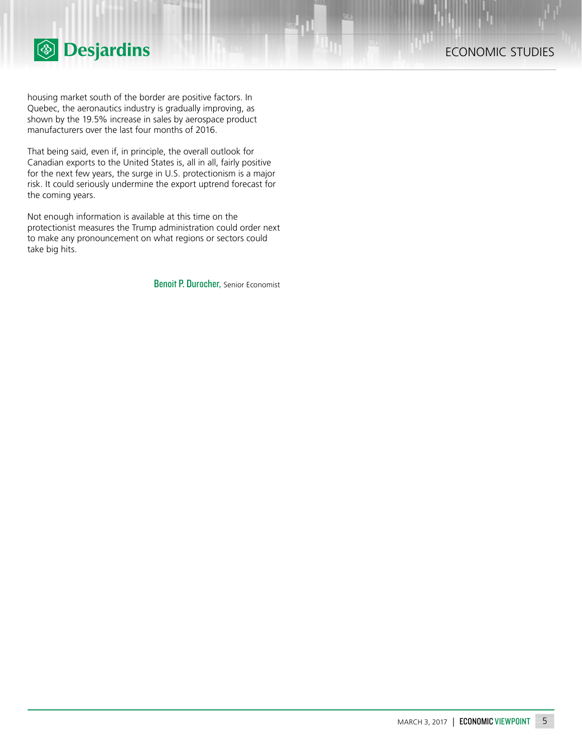

housing market south of the border are positive factors. In Quebec, the aeronautics industry is gradually improving, as shown by the 19.5% increase in sales by aerospace product manufacturers over the last four months of 2016.

That being said, even if, in principle, the overall outlook for Canadian exports to the United States is, all in all, fairly positive for the next few years, the surge in U.S. protectionism is a major risk. It could seriously undermine the export uptrend forecast for the coming years.

Not enough information is available at this time on the protectionist measures the Trump administration could order next to make any pronouncement on what regions or sectors could take big hits.

Benoit P. Durocher, Senior Economist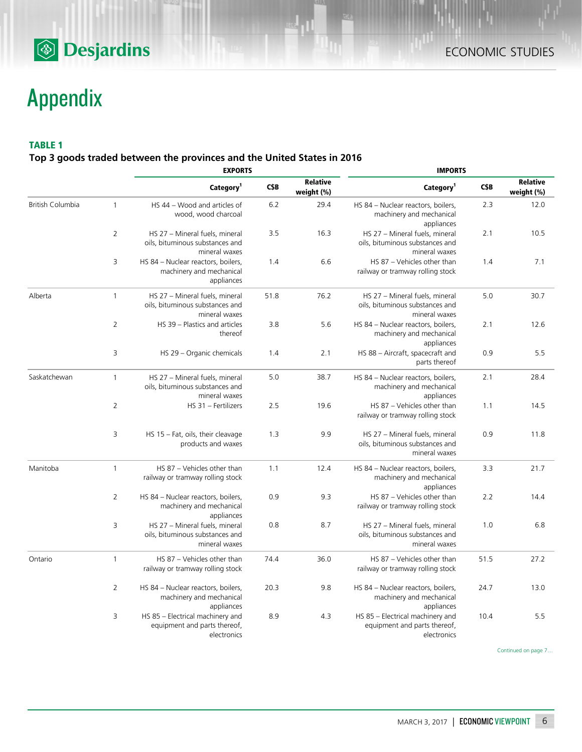## **<sup><sup>5</sup>** Desjardins</sup>

# Appendix

### **TABLE 1**

**Top 3 goods traded between the provinces and the United States in 2016**

|                         |                | <b>EXPORTS</b>                                                                     |      |                               | <b>IMPORTS</b>                                                                     |      |                               |  |
|-------------------------|----------------|------------------------------------------------------------------------------------|------|-------------------------------|------------------------------------------------------------------------------------|------|-------------------------------|--|
|                         |                | Category <sup>1</sup>                                                              | C\$B | <b>Relative</b><br>weight (%) | Category <sup>1</sup>                                                              | C\$B | <b>Relative</b><br>weight (%) |  |
| <b>British Columbia</b> | $\mathbf{1}$   | HS 44 - Wood and articles of<br>wood, wood charcoal                                | 6.2  | 29.4                          | HS 84 - Nuclear reactors, boilers,<br>machinery and mechanical<br>appliances       | 2.3  | 12.0                          |  |
|                         | 2              | HS 27 - Mineral fuels, mineral<br>oils, bituminous substances and<br>mineral waxes | 3.5  | 16.3                          | HS 27 - Mineral fuels, mineral<br>oils, bituminous substances and<br>mineral waxes | 2.1  | 10.5                          |  |
|                         | 3              | HS 84 - Nuclear reactors, boilers,<br>machinery and mechanical<br>appliances       | 1.4  | 6.6                           | HS 87 - Vehicles other than<br>railway or tramway rolling stock                    | 1.4  | 7.1                           |  |
| Alberta                 | $\mathbf{1}$   | HS 27 - Mineral fuels, mineral<br>oils, bituminous substances and<br>mineral waxes | 51.8 | 76.2                          | HS 27 - Mineral fuels, mineral<br>oils, bituminous substances and<br>mineral waxes | 5.0  | 30.7                          |  |
|                         | 2              | HS 39 - Plastics and articles<br>thereof                                           | 3.8  | 5.6                           | HS 84 - Nuclear reactors, boilers,<br>machinery and mechanical<br>appliances       | 2.1  | 12.6                          |  |
|                         | 3              | HS 29 - Organic chemicals                                                          | 1.4  | 2.1                           | HS 88 - Aircraft, spacecraft and<br>parts thereof                                  | 0.9  | 5.5                           |  |
| Saskatchewan            | $\mathbf{1}$   | HS 27 - Mineral fuels, mineral<br>oils, bituminous substances and<br>mineral waxes | 5.0  | 38.7                          | HS 84 - Nuclear reactors, boilers,<br>machinery and mechanical<br>appliances       | 2.1  | 28.4                          |  |
|                         | $\overline{2}$ | HS 31 - Fertilizers                                                                | 2.5  | 19.6                          | HS 87 - Vehicles other than<br>railway or tramway rolling stock                    | 1.1  | 14.5                          |  |
|                         | 3              | HS 15 - Fat, oils, their cleavage<br>products and waxes                            | 1.3  | 9.9                           | HS 27 - Mineral fuels, mineral<br>oils, bituminous substances and<br>mineral waxes | 0.9  | 11.8                          |  |
| Manitoba                | $\mathbf{1}$   | HS 87 - Vehicles other than<br>railway or tramway rolling stock                    | 1.1  | 12.4                          | HS 84 - Nuclear reactors, boilers,<br>machinery and mechanical<br>appliances       | 3.3  | 21.7                          |  |
|                         | 2              | HS 84 - Nuclear reactors, boilers,<br>machinery and mechanical<br>appliances       | 0.9  | 9.3                           | HS 87 - Vehicles other than<br>railway or tramway rolling stock                    | 2.2  | 14.4                          |  |
|                         | 3              | HS 27 - Mineral fuels, mineral<br>oils, bituminous substances and<br>mineral waxes | 0.8  | 8.7                           | HS 27 - Mineral fuels, mineral<br>oils, bituminous substances and<br>mineral waxes | 1.0  | 6.8                           |  |
| Ontario                 | $\mathbf{1}$   | HS 87 - Vehicles other than<br>railway or tramway rolling stock                    | 74.4 | 36.0                          | HS 87 - Vehicles other than<br>railway or tramway rolling stock                    | 51.5 | 27.2                          |  |
|                         | 2              | HS 84 - Nuclear reactors, boilers,<br>machinery and mechanical<br>appliances       | 20.3 | 9.8                           | HS 84 - Nuclear reactors, boilers,<br>machinery and mechanical<br>appliances       | 24.7 | 13.0                          |  |
|                         | 3              | HS 85 - Electrical machinery and<br>equipment and parts thereof,<br>electronics    | 8.9  | 4.3                           | HS 85 - Electrical machinery and<br>equipment and parts thereof,<br>electronics    | 10.4 | 5.5                           |  |

Continued on page 7…